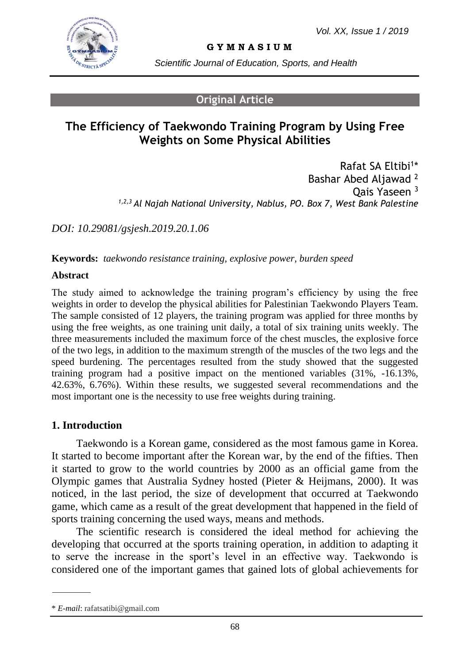

**G Y M N A S I U M**

*Scientific Journal of Education, Sports, and Health*

### **Original Article**

# **The Efficiency of Taekwondo Training Program by Using Free Weights on Some Physical Abilities**

Rafat SA Eltibi<sup>1</sup>\* Bashar Abed Aljawad <sup>2</sup> Qais Yaseen <sup>3</sup> *1,2,3 Al Najah National University, Nablus, PO. Box 7, West Bank Palestine*

*DOI: 10.29081/gsjesh.2019.20.1.06*

**Keywords:** *taekwondo resistance training, explosive power, burden speed* 

#### **Abstract**

The study aimed to acknowledge the training program's efficiency by using the free weights in order to develop the physical abilities for Palestinian Taekwondo Players Team. The sample consisted of 12 players, the training program was applied for three months by using the free weights, as one training unit daily, a total of six training units weekly. The three measurements included the maximum force of the chest muscles, the explosive force of the two legs, in addition to the maximum strength of the muscles of the two legs and the speed burdening. The percentages resulted from the study showed that the suggested training program had a positive impact on the mentioned variables (31%, -16.13%, 42.63%, 6.76%). Within these results, we suggested several recommendations and the most important one is the necessity to use free weights during training.

### **1. Introduction**

Taekwondo is a Korean game, considered as the most famous game in Korea. It started to become important after the Korean war, by the end of the fifties. Then it started to grow to the world countries by 2000 as an official game from the Olympic games that Australia Sydney hosted (Pieter & Heijmans, 2000). It was noticed, in the last period, the size of development that occurred at Taekwondo game, which came as a result of the great development that happened in the field of sports training concerning the used ways, means and methods.

The scientific research is considered the ideal method for achieving the developing that occurred at the sports training operation, in addition to adapting it to serve the increase in the sport's level in an effective way. Taekwondo is considered one of the important games that gained lots of global achievements for

<sup>\*</sup> *E-mail*: rafatsatibi@gmail.com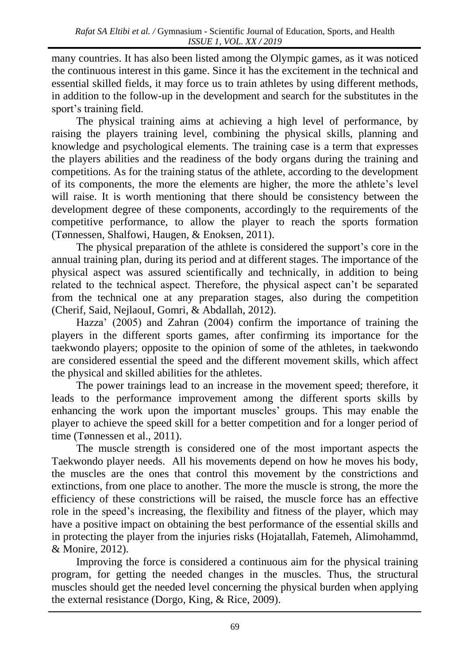many countries. It has also been listed among the Olympic games, as it was noticed the continuous interest in this game. Since it has the excitement in the technical and essential skilled fields, it may force us to train athletes by using different methods, in addition to the follow-up in the development and search for the substitutes in the sport's training field.

The physical training aims at achieving a high level of performance, by raising the players training level, combining the physical skills, planning and knowledge and psychological elements. The training case is a term that expresses the players abilities and the readiness of the body organs during the training and competitions. As for the training status of the athlete, according to the development of its components, the more the elements are higher, the more the athlete's level will raise. It is worth mentioning that there should be consistency between the development degree of these components, accordingly to the requirements of the competitive performance, to allow the player to reach the sports formation (Tønnessen, Shalfowi, Haugen, & Enoksen, 2011).

The physical preparation of the athlete is considered the support's core in the annual training plan, during its period and at different stages. The importance of the physical aspect was assured scientifically and technically, in addition to being related to the technical aspect. Therefore, the physical aspect can't be separated from the technical one at any preparation stages, also during the competition (Cherif, Said, NejlaouI, Gomri, & Abdallah, 2012).

Hazza' (2005) and Zahran (2004) confirm the importance of training the players in the different sports games, after confirming its importance for the taekwondo players; opposite to the opinion of some of the athletes, in taekwondo are considered essential the speed and the different movement skills, which affect the physical and skilled abilities for the athletes.

The power trainings lead to an increase in the movement speed; therefore, it leads to the performance improvement among the different sports skills by enhancing the work upon the important muscles' groups. This may enable the player to achieve the speed skill for a better competition and for a longer period of time (Tønnessen et al., 2011).

The muscle strength is considered one of the most important aspects the Taekwondo player needs. All his movements depend on how he moves his body, the muscles are the ones that control this movement by the constrictions and extinctions, from one place to another. The more the muscle is strong, the more the efficiency of these constrictions will be raised, the muscle force has an effective role in the speed's increasing, the flexibility and fitness of the player, which may have a positive impact on obtaining the best performance of the essential skills and in protecting the player from the injuries risks (Hojatallah, Fatemeh, Alimohammd, & Monire, 2012).

Improving the force is considered a continuous aim for the physical training program, for getting the needed changes in the muscles. Thus, the structural muscles should get the needed level concerning the physical burden when applying the external resistance (Dorgo, King, & Rice, 2009).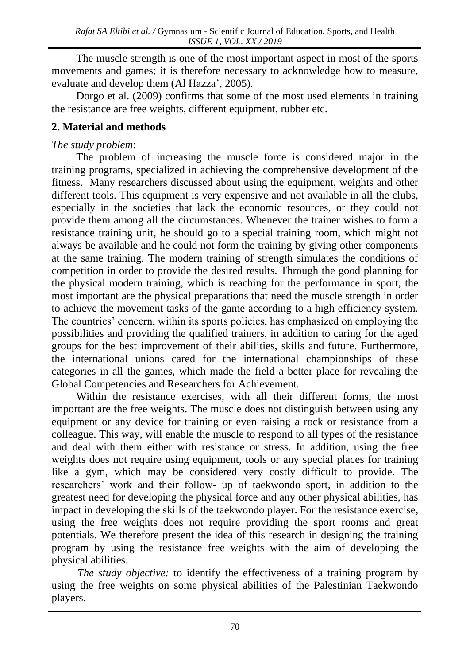The muscle strength is one of the most important aspect in most of the sports movements and games; it is therefore necessary to acknowledge how to measure, evaluate and develop them (Al Hazza', 2005).

Dorgo et al. (2009) confirms that some of the most used elements in training the resistance are free weights, different equipment, rubber etc.

### **2. Material and methods**

### *The study problem*:

The problem of increasing the muscle force is considered major in the training programs, specialized in achieving the comprehensive development of the fitness. Many researchers discussed about using the equipment, weights and other different tools. This equipment is very expensive and not available in all the clubs, especially in the societies that lack the economic resources, or they could not provide them among all the circumstances. Whenever the trainer wishes to form a resistance training unit, he should go to a special training room, which might not always be available and he could not form the training by giving other components at the same training. The modern training of strength simulates the conditions of competition in order to provide the desired results. Through the good planning for the physical modern training, which is reaching for the performance in sport, the most important are the physical preparations that need the muscle strength in order to achieve the movement tasks of the game according to a high efficiency system. The countries' concern, within its sports policies, has emphasized on employing the possibilities and providing the qualified trainers, in addition to caring for the aged groups for the best improvement of their abilities, skills and future. Furthermore, the international unions cared for the international championships of these categories in all the games, which made the field a better place for revealing the Global Competencies and Researchers for Achievement.

Within the resistance exercises, with all their different forms, the most important are the free weights. The muscle does not distinguish between using any equipment or any device for training or even raising a rock or resistance from a colleague. This way, will enable the muscle to respond to all types of the resistance and deal with them either with resistance or stress. In addition, using the free weights does not require using equipment, tools or any special places for training like a gym, which may be considered very costly difficult to provide. The researchers' work and their follow- up of taekwondo sport, in addition to the greatest need for developing the physical force and any other physical abilities, has impact in developing the skills of the taekwondo player. For the resistance exercise, using the free weights does not require providing the sport rooms and great potentials. We therefore present the idea of this research in designing the training program by using the resistance free weights with the aim of developing the physical abilities.

*The study objective:* to identify the effectiveness of a training program by using the free weights on some physical abilities of the Palestinian Taekwondo players.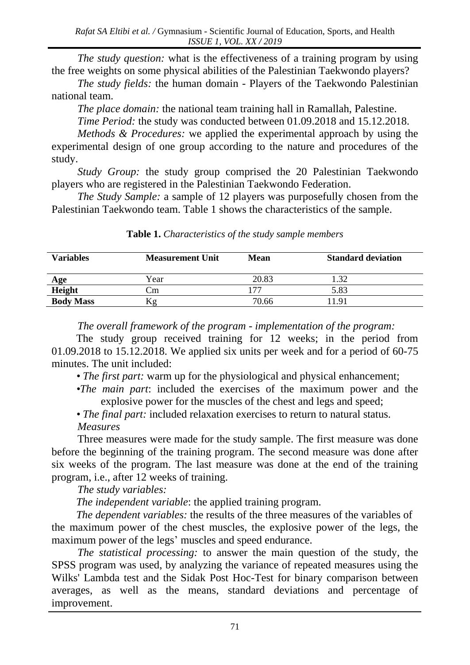*The study question:* what is the effectiveness of a training program by using the free weights on some physical abilities of the Palestinian Taekwondo players?

*The study fields:* the human domain - Players of the Taekwondo Palestinian national team.

*The place domain:* the national team training hall in Ramallah, Palestine.

*Time Period:* the study was conducted between 01.09.2018 and 15.12.2018.

*Methods & Procedures:* we applied the experimental approach by using the experimental design of one group according to the nature and procedures of the study.

*Study Group:* the study group comprised the 20 Palestinian Taekwondo players who are registered in the Palestinian Taekwondo Federation.

*The Study Sample:* a sample of 12 players was purposefully chosen from the Palestinian Taekwondo team. Table 1 shows the characteristics of the sample.

| <b>Variables</b> | <b>Measurement Unit</b> | Mean  | <b>Standard deviation</b> |
|------------------|-------------------------|-------|---------------------------|
| Age              | Year                    | 20.83 | 32                        |
| Height           | ∠m                      |       | 5.83                      |
| <b>Body Mass</b> | KΫ.                     | 70.66 | 1191                      |

**Table 1.** *Characteristics of the study sample members*

*The overall framework of the program - implementation of the program:*

The study group received training for 12 weeks; in the period from 01.09.2018 to 15.12.2018. We applied six units per week and for a period of 60-75 minutes. The unit included:

*• The first part:* warm up for the physiological and physical enhancement;

- *•The main part*: included the exercises of the maximum power and the explosive power for the muscles of the chest and legs and speed;
- *The final part:* included relaxation exercises to return to natural status. *Measures*

Three measures were made for the study sample. The first measure was done before the beginning of the training program. The second measure was done after six weeks of the program. The last measure was done at the end of the training program, i.e., after 12 weeks of training.

*The study variables:*

 *The independent variable*: the applied training program.

*The dependent variables:* the results of the three measures of the variables of the maximum power of the chest muscles, the explosive power of the legs, the maximum power of the legs' muscles and speed endurance.

*The statistical processing:* to answer the main question of the study, the SPSS program was used, by analyzing the variance of repeated measures using the Wilks' Lambda test and the Sidak Post Hoc-Test for binary comparison between averages, as well as the means, standard deviations and percentage of improvement.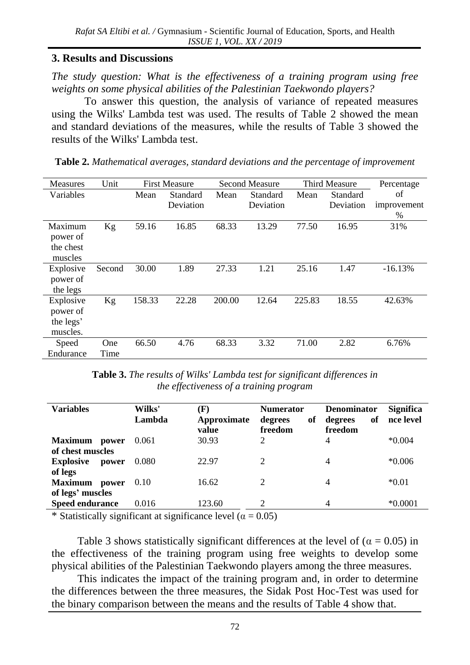### **3. Results and Discussions**

*The study question: What is the effectiveness of a training program using free weights on some physical abilities of the Palestinian Taekwondo players?*

To answer this question, the analysis of variance of repeated measures using the Wilks' Lambda test was used. The results of Table 2 showed the mean and standard deviations of the measures, while the results of Table 3 showed the results of the Wilks' Lambda test.

| Table 2. Mathematical averages, standard deviations and the percentage of improvement |  |  |
|---------------------------------------------------------------------------------------|--|--|
|---------------------------------------------------------------------------------------|--|--|

| <b>Measures</b> | Unit       |        | <b>First Measure</b> | <b>Second Measure</b> |           | Third Measure |           | Percentage  |
|-----------------|------------|--------|----------------------|-----------------------|-----------|---------------|-----------|-------------|
| Variables       |            | Mean   | Standard             | Mean                  | Standard  | Mean          | Standard  | of          |
|                 |            |        | Deviation            |                       | Deviation |               | Deviation | improvement |
|                 |            |        |                      |                       |           |               |           | %           |
| Maximum         | Kg         | 59.16  | 16.85                | 68.33                 | 13.29     | 77.50         | 16.95     | 31%         |
| power of        |            |        |                      |                       |           |               |           |             |
| the chest       |            |        |                      |                       |           |               |           |             |
| muscles         |            |        |                      |                       |           |               |           |             |
| Explosive       | Second     | 30.00  | 1.89                 | 27.33                 | 1.21      | 25.16         | 1.47      | $-16.13%$   |
| power of        |            |        |                      |                       |           |               |           |             |
| the legs        |            |        |                      |                       |           |               |           |             |
| Explosive       | Kg         | 158.33 | 22.28                | 200.00                | 12.64     | 225.83        | 18.55     | 42.63%      |
| power of        |            |        |                      |                       |           |               |           |             |
| the legs'       |            |        |                      |                       |           |               |           |             |
| muscles.        |            |        |                      |                       |           |               |           |             |
| Speed           | <b>One</b> | 66.50  | 4.76                 | 68.33                 | 3.32      | 71.00         | 2.82      | 6.76%       |
| Endurance       | Time       |        |                      |                       |           |               |           |             |

**Table 3.** *The results of Wilks' Lambda test for significant differences in the effectiveness of a training program*

| <b>Variables</b>                            | Wilks'<br>Lambda | (F)<br>Approximate<br>value | <b>Numerator</b><br>of<br>degrees<br>freedom | <b>Denominator</b><br>of<br>degrees<br>freedom | <b>Significa</b><br>nce level |
|---------------------------------------------|------------------|-----------------------------|----------------------------------------------|------------------------------------------------|-------------------------------|
| Maximum power<br>of chest muscles           | 0.061            | 30.93                       | 2                                            | 4                                              | $*0.004$                      |
| <b>Explosive</b><br>power<br>of legs        | 0.080            | 22.97                       | $\mathfrak{D}$                               | 4                                              | $*0.006$                      |
| <b>Maximum</b><br>power<br>of legs' muscles | 0.10             | 16.62                       | 2                                            | 4                                              | $*0.01$                       |
| <b>Speed endurance</b>                      | 0.016            | 123.60                      | 2                                            | 4                                              | $*0.0001$                     |

\* Statistically significant at significance level ( $\alpha = 0.05$ )

Table 3 shows statistically significant differences at the level of ( $\alpha = 0.05$ ) in the effectiveness of the training program using free weights to develop some physical abilities of the Palestinian Taekwondo players among the three measures.

This indicates the impact of the training program and, in order to determine the differences between the three measures, the Sidak Post Hoc-Test was used for the binary comparison between the means and the results of Table 4 show that.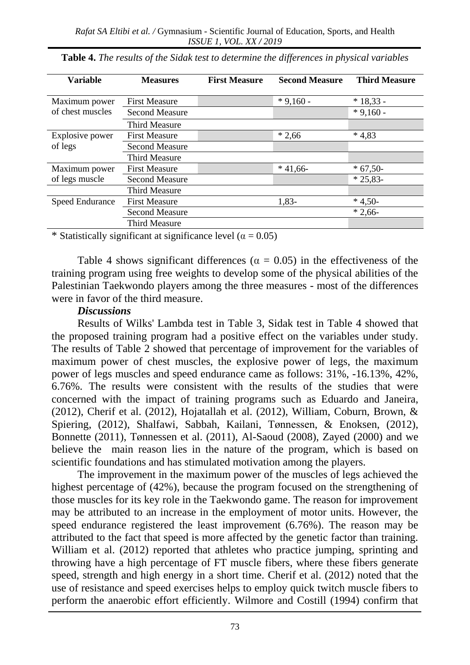| <b>Variable</b>                 | <b>Measures</b>       | <b>First Measure</b> | <b>Second Measure</b> | <b>Third Measure</b> |
|---------------------------------|-----------------------|----------------------|-----------------------|----------------------|
| Maximum power                   | <b>First Measure</b>  |                      | $*9,160 -$            | $*18,33 -$           |
| of chest muscles                | <b>Second Measure</b> |                      |                       | $*9.160 -$           |
|                                 | Third Measure         |                      |                       |                      |
| Explosive power<br>of legs      | <b>First Measure</b>  |                      | $*2,66$               | $*4.83$              |
|                                 | <b>Second Measure</b> |                      |                       |                      |
|                                 | Third Measure         |                      |                       |                      |
| Maximum power<br>of legs muscle | <b>First Measure</b>  |                      | $*41.66-$             | $*67,50-$            |
|                                 | <b>Second Measure</b> |                      |                       | $*25,83-$            |
|                                 | Third Measure         |                      |                       |                      |
| Speed Endurance                 | <b>First Measure</b>  |                      | 1,83-                 | $*4,50-$             |
|                                 | <b>Second Measure</b> |                      |                       | $*2.66-$             |
|                                 | <b>Third Measure</b>  |                      |                       |                      |

**Table 4.** *The results of the Sidak test to determine the differences in physical variables* 

\* Statistically significant at significance level ( $\alpha = 0.05$ )

Table 4 shows significant differences ( $\alpha = 0.05$ ) in the effectiveness of the training program using free weights to develop some of the physical abilities of the Palestinian Taekwondo players among the three measures - most of the differences were in favor of the third measure.

#### *Discussions*

Results of Wilks' Lambda test in Table 3, Sidak test in Table 4 showed that the proposed training program had a positive effect on the variables under study. The results of Table 2 showed that percentage of improvement for the variables of maximum power of chest muscles, the explosive power of legs, the maximum power of legs muscles and speed endurance came as follows: 31%, -16.13%, 42%, 6.76%. The results were consistent with the results of the studies that were concerned with the impact of training programs such as Eduardo and [Janeira,](http://www.ncbi.nlm.nih.gov/pubmed?term=Janeira%20MA%5BAuthor%5D&cauthor=true&cauthor_uid=18438223)  (2012), Cherif et al. (2012), Hojatallah et al. (2012), William, Coburn, Brown, & Spiering, (2012), Shalfawi, Sabbah, Kailani, Tønnessen, & Enoksen, (2012), Bonnette (2011), Tønnessen et al. (2011), Al-Saoud (2008), Zayed (2000) and we believe the main reason lies in the nature of the program, which is based on scientific foundations and has stimulated motivation among the players.

The improvement in the maximum power of the muscles of legs achieved the highest percentage of (42%), because the program focused on the strengthening of those muscles for its key role in the Taekwondo game. The reason for improvement may be attributed to an increase in the employment of motor units. However, the speed endurance registered the least improvement (6.76%). The reason may be attributed to the fact that speed is more affected by the genetic factor than training. William et al. (2012) reported that athletes who practice jumping, sprinting and throwing have a high percentage of FT muscle fibers, where these fibers generate speed, strength and high energy in a short time. Cherif et al. (2012) noted that the use of resistance and speed exercises helps to employ quick twitch muscle fibers to perform the anaerobic effort efficiently. Wilmore and Costill (1994) confirm that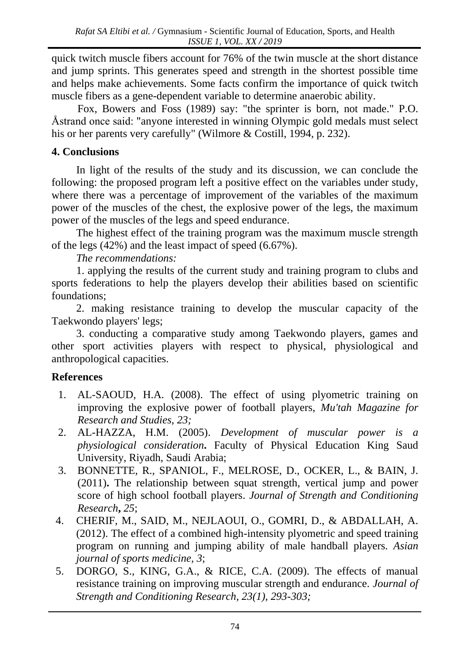quick twitch muscle fibers account for 76% of the twin muscle at the short distance and jump sprints. This generates speed and strength in the shortest possible time and helps make achievements. Some facts confirm the importance of quick twitch muscle fibers as a gene-dependent variable to determine anaerobic ability.

Fox, Bowers and Foss (1989) say: "the sprinter is born, not made." P.O. Åstrand once said: "anyone interested in winning Olympic gold medals must select his or her parents very carefully" (Wilmore & Costill, 1994, p. 232).

## **4. Conclusions**

In light of the results of the study and its discussion, we can conclude the following: the proposed program left a positive effect on the variables under study, where there was a percentage of improvement of the variables of the maximum power of the muscles of the chest, the explosive power of the legs, the maximum power of the muscles of the legs and speed endurance.

The highest effect of the training program was the maximum muscle strength of the legs (42%) and the least impact of speed (6.67%).

*The recommendations:*

1. applying the results of the current study and training program to clubs and sports federations to help the players develop their abilities based on scientific foundations;

2. making resistance training to develop the muscular capacity of the Taekwondo players' legs;

3. conducting a comparative study among Taekwondo players, games and other sport activities players with respect to physical, physiological and anthropological capacities.

## **References**

- 1. AL-SAOUD, H.A. (2008). The effect of using plyometric training on improving the explosive power of football players, *Mu'tah Magazine for Research and Studies, 23;*
- 2. AL-HAZZA, H.M. (2005). *Development of muscular power is a physiological consideration***.** Faculty of Physical Education King Saud University, Riyadh, Saudi Arabia;
- 3. BONNETTE, R., SPANIOL, F., MELROSE, D., OCKER, L., & BAIN, J. (2011)**.** [The relationship between squat strength, vertical jump and power](http://journals.lww.com/nsca-jscr/Abstract/2011/03001/The_Relationship_Between_Squat_Strength,_Vertical.135.aspx)  [score of high school football players.](http://journals.lww.com/nsca-jscr/Abstract/2011/03001/The_Relationship_Between_Squat_Strength,_Vertical.135.aspx) *Journal of Strength and Conditioning Research***,** *25*;
- 4. CHERIF, M., SAID, M., NEJLAOUI, O., GOMRI, D., & ABDALLAH, A. (2012). The effect of a combined high-intensity plyometric and speed training program on running and jumping ability of male handball players. *Asian journal of sports medicine, 3*;
- 5. DORGO, S., KING, G.A., & RICE, C.A. (2009). The effects of manual resistance training on improving muscular strength and endurance. *Journal of Strength and Conditioning Research, 23(1), 293-303;*